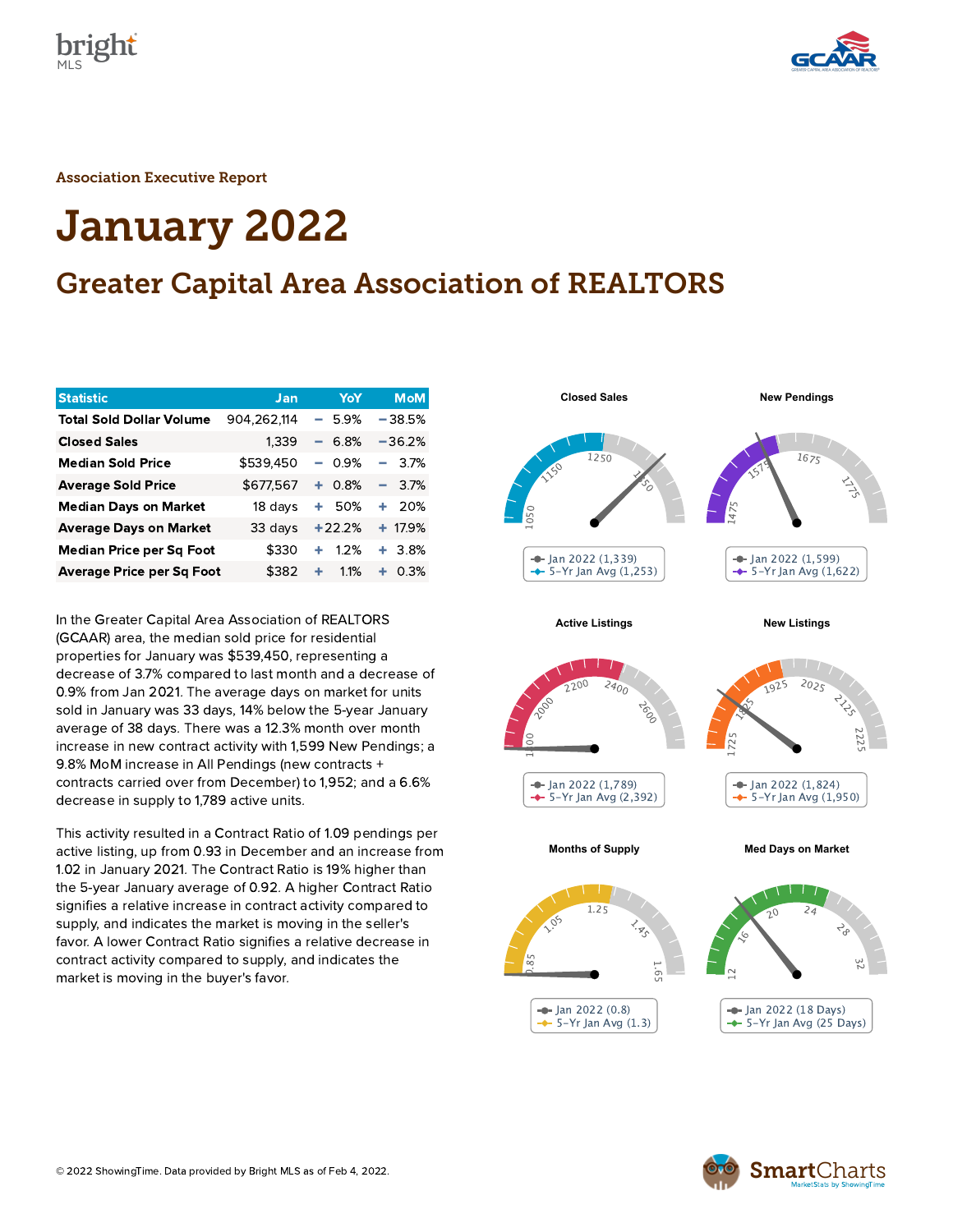



Association Executive Report

# January 2022

### Greater Capital Area Association of REALTORS

| <b>Statistic</b>                 | Jan         | YoY            | <b>MoM</b>     |
|----------------------------------|-------------|----------------|----------------|
| <b>Total Sold Dollar Volume</b>  | 904.262.114 | 5.9%<br>÷      | $-38.5%$       |
| <b>Closed Sales</b>              | 1,339       | 6.8%<br>-      | $-36.2%$       |
| <b>Median Sold Price</b>         | \$539,450   | 0.9%<br>$\sim$ | 3.7%<br>$\sim$ |
| <b>Average Sold Price</b>        | \$677,567   | 0.8%<br>٠.     | $-3.7%$        |
| <b>Median Days on Market</b>     | 18 days     | 50%<br>٠       | 20%<br>٠       |
| <b>Average Days on Market</b>    | 33 days     | $+22.2%$       | $+ 17.9%$      |
| <b>Median Price per Sq Foot</b>  | \$330       | 1.2%<br>٠      | $+3.8%$        |
| <b>Average Price per Sq Foot</b> | \$382       | 1.1%<br>٠      | ٠<br>0.3%      |

In the Greater Capital Area Association of REALTORS (GCAAR) area, the median sold price for residential properties for January was \$539,450, representing a decrease of 3.7% compared to last month and a decrease of 0.9% from Jan 2021. The average days on market for units sold in January was 33 days, 14% below the 5-year January average of 38 days. There was a 12.3% month over month increase in new contract activity with 1,599 New Pendings; a 9.8% MoM increase in All Pendings (new contracts + contracts carried over from December) to 1,952; and a 6.6% decrease in supply to 1,789 active units.

This activity resulted in a Contract Ratio of 1.09 pendings per active listing, up from 0.93 in December and an increase from 1.02 in January 2021. The Contract Ratio is 19% higher than the 5-year January average of 0.92. A higher Contract Ratio signifies a relative increase in contract activity compared to supply, and indicates the market is moving in the seller's favor. A lower Contract Ratio signifies a relative decrease in contract activity compared to supply, and indicates the market is moving in the buyer's favor.



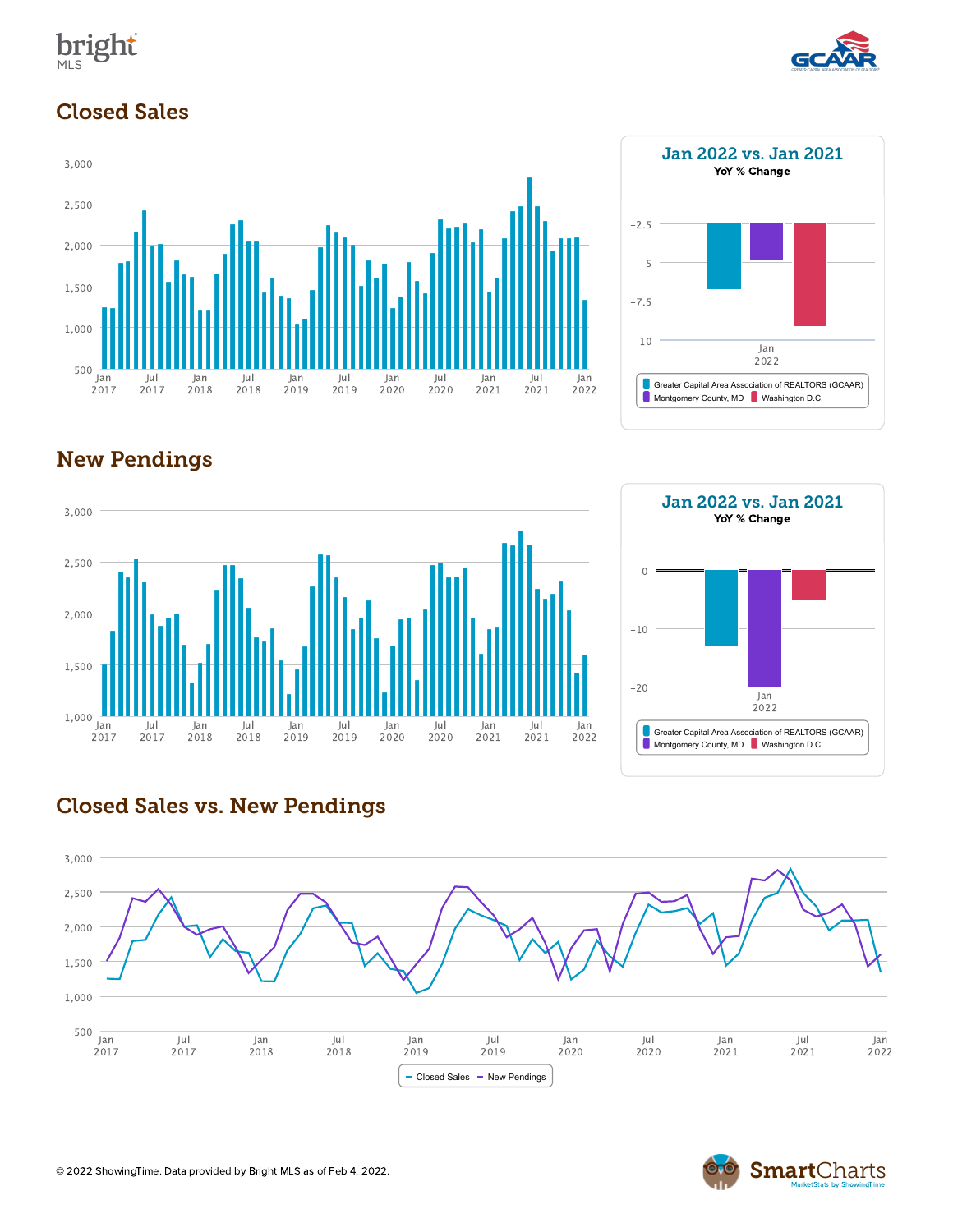



#### Closed Sales





#### New Pendings



## Jan 2022 vs. Jan 2021 YoY % Change Greater Capital Area Association of REALTORS (GCAAR) Montgomery County, MD Washington D.C. Jan 2022 -20 -10 0

#### Closed Sales vs. New Pendings



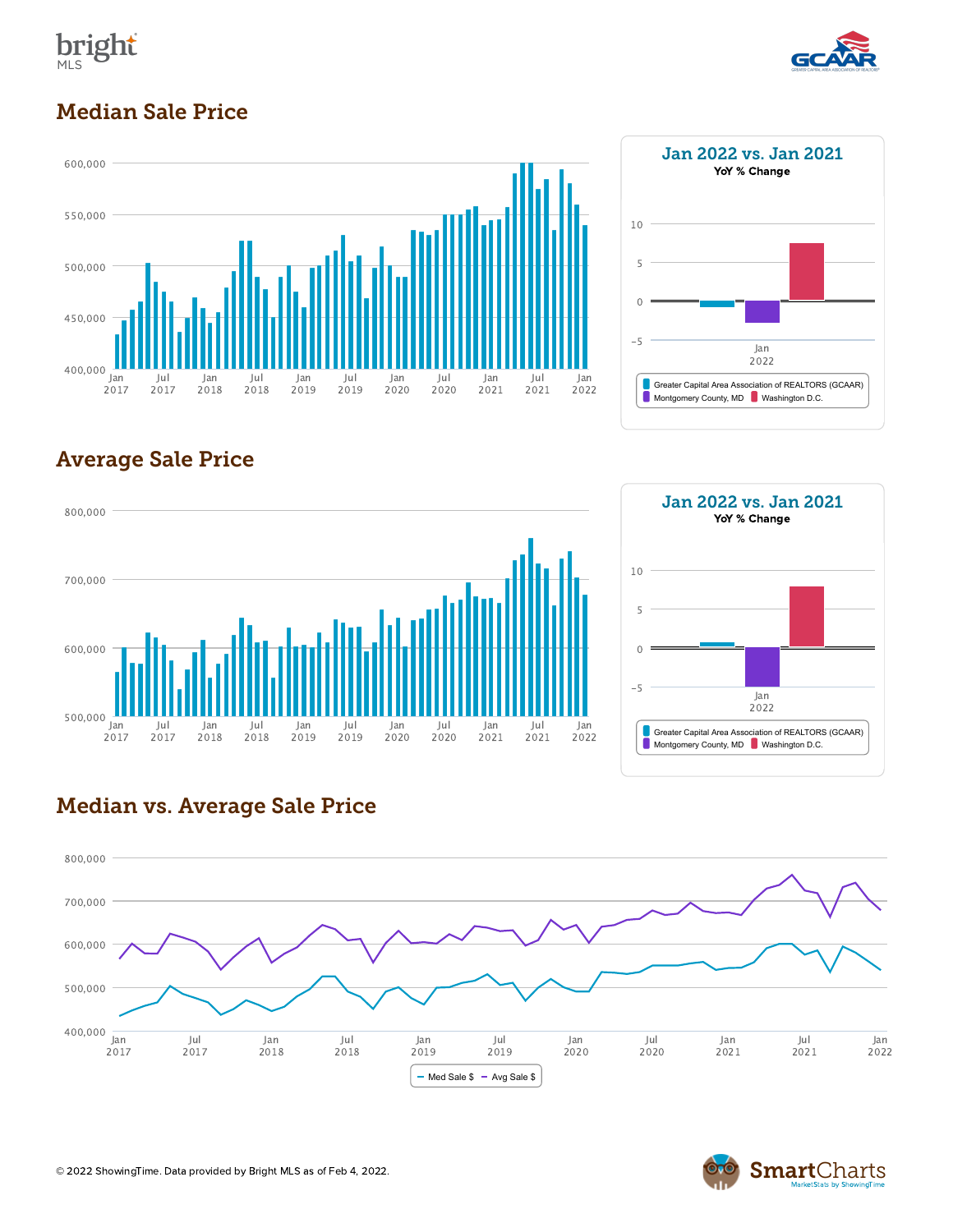



#### Median Sale Price





#### Average Sale Price





#### Median vs. Average Sale Price